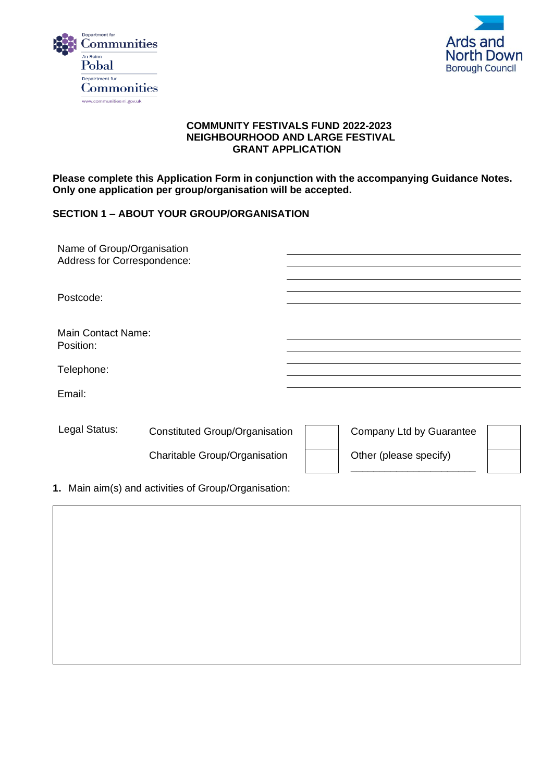



#### **COMMUNITY FESTIVALS FUND 2022-2023 NEIGHBOURHOOD AND LARGE FESTIVAL GRANT APPLICATION**

**Please complete this Application Form in conjunction with the accompanying Guidance Notes. Only one application per group/organisation will be accepted.**

## **SECTION 1 – ABOUT YOUR GROUP/ORGANISATION**

| Name of Group/Organisation<br>Address for Correspondence: |                                                                        |                                                    |  |
|-----------------------------------------------------------|------------------------------------------------------------------------|----------------------------------------------------|--|
| Postcode:                                                 |                                                                        |                                                    |  |
| <b>Main Contact Name:</b><br>Position:                    |                                                                        |                                                    |  |
| Telephone:                                                |                                                                        |                                                    |  |
| Email:                                                    |                                                                        |                                                    |  |
| Legal Status:                                             | <b>Constituted Group/Organisation</b><br>Charitable Group/Organisation | Company Ltd by Guarantee<br>Other (please specify) |  |
|                                                           | 1. Main aim(s) and activities of Group/Organisation:                   |                                                    |  |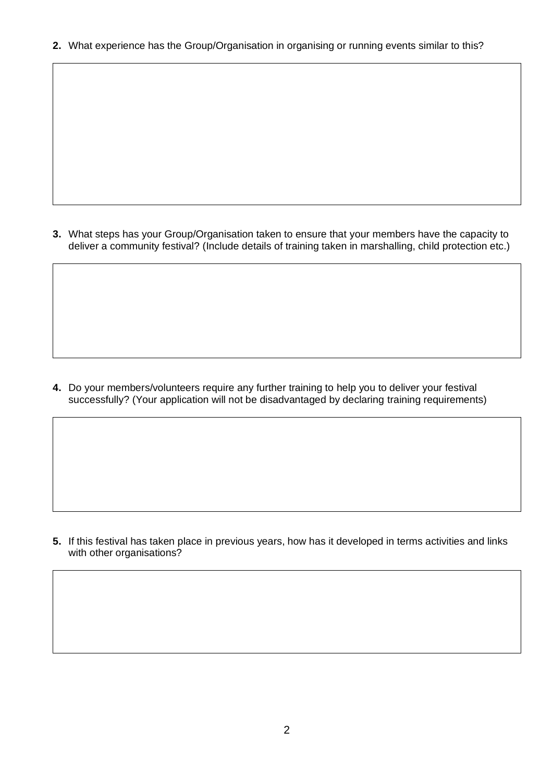**2.** What experience has the Group/Organisation in organising or running events similar to this?

**3.** What steps has your Group/Organisation taken to ensure that your members have the capacity to deliver a community festival? (Include details of training taken in marshalling, child protection etc.)

**4.** Do your members/volunteers require any further training to help you to deliver your festival successfully? (Your application will not be disadvantaged by declaring training requirements)

**5.** If this festival has taken place in previous years, how has it developed in terms activities and links with other organisations?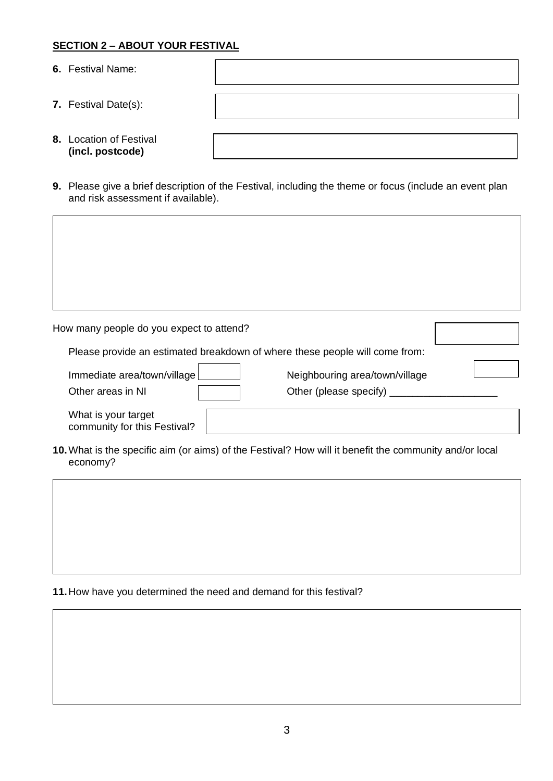## **SECTION 2 – ABOUT YOUR FESTIVAL**

- **6.** Festival Name:
- **7.** Festival Date(s):
- **8.** Location of Festival **(incl. postcode)**
- **9.** Please give a brief description of the Festival, including the theme or focus (include an event plan and risk assessment if available).

| How many people do you expect to attend?            |                                                                             |
|-----------------------------------------------------|-----------------------------------------------------------------------------|
|                                                     | Please provide an estimated breakdown of where these people will come from: |
| Immediate area/town/village<br>Other areas in NI    | Neighbouring area/town/village<br>Other (please specify)                    |
| What is your target<br>community for this Festival? |                                                                             |

**10.**What is the specific aim (or aims) of the Festival? How will it benefit the community and/or local economy?

**11.**How have you determined the need and demand for this festival?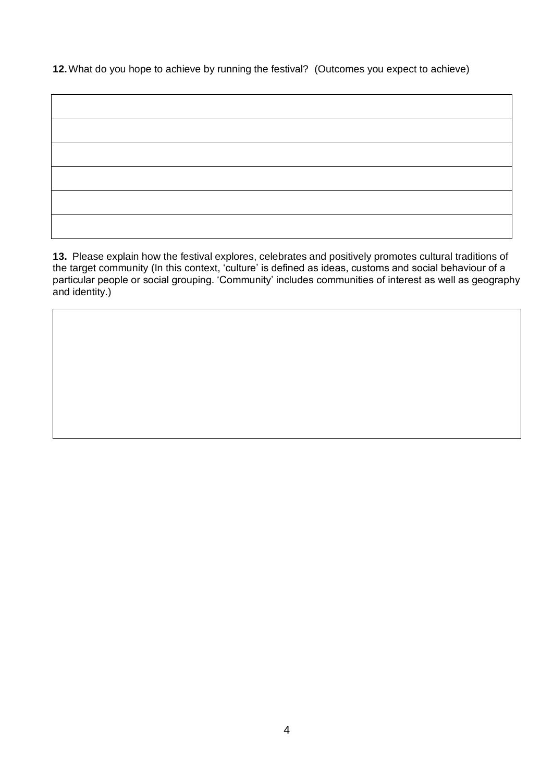**12.**What do you hope to achieve by running the festival? (Outcomes you expect to achieve)

**13.** Please explain how the festival explores, celebrates and positively promotes cultural traditions of the target community (In this context, 'culture' is defined as ideas, customs and social behaviour of a particular people or social grouping. 'Community' includes communities of interest as well as geography and identity.)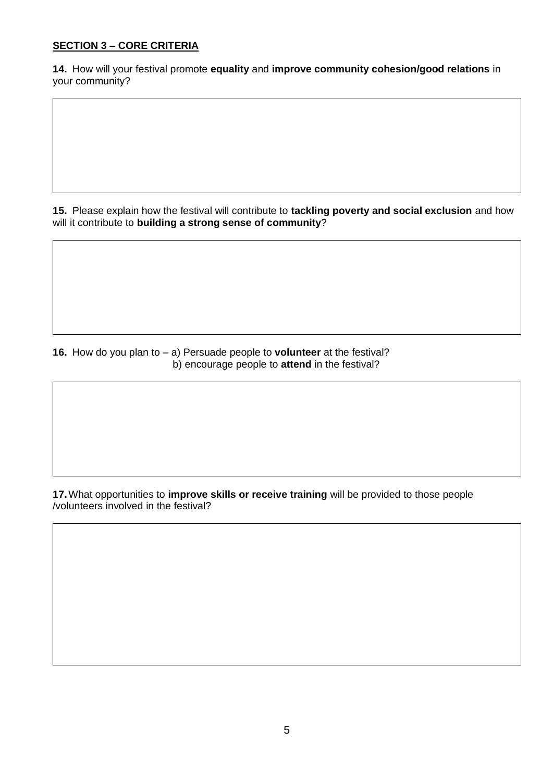# **SECTION 3 – CORE CRITERIA**

**14.** How will your festival promote **equality** and **improve community cohesion/good relations** in your community?

**15.** Please explain how the festival will contribute to **tackling poverty and social exclusion** and how will it contribute to **building a strong sense of community**?

**16.** How do you plan to – a) Persuade people to **volunteer** at the festival? b) encourage people to **attend** in the festival?

**17.**What opportunities to **improve skills or receive training** will be provided to those people /volunteers involved in the festival?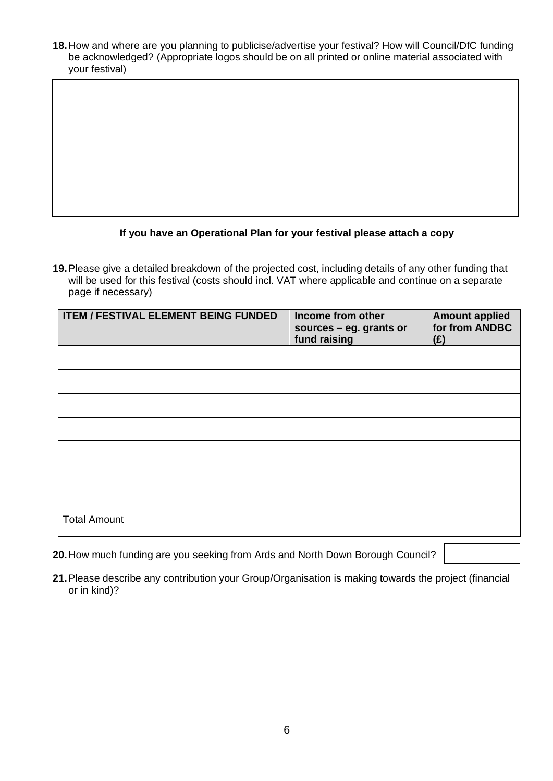**18.**How and where are you planning to publicise/advertise your festival? How will Council/DfC funding be acknowledged? (Appropriate logos should be on all printed or online material associated with your festival)

## **If you have an Operational Plan for your festival please attach a copy**

**19.**Please give a detailed breakdown of the projected cost, including details of any other funding that will be used for this festival (costs should incl. VAT where applicable and continue on a separate page if necessary)

| <b>ITEM / FESTIVAL ELEMENT BEING FUNDED</b> | Income from other<br>sources - eg. grants or<br>fund raising | <b>Amount applied</b><br>for from ANDBC<br>(E) |
|---------------------------------------------|--------------------------------------------------------------|------------------------------------------------|
|                                             |                                                              |                                                |
|                                             |                                                              |                                                |
|                                             |                                                              |                                                |
|                                             |                                                              |                                                |
|                                             |                                                              |                                                |
|                                             |                                                              |                                                |
|                                             |                                                              |                                                |
| <b>Total Amount</b>                         |                                                              |                                                |

- **20.**How much funding are you seeking from Ards and North Down Borough Council?
- **21.**Please describe any contribution your Group/Organisation is making towards the project (financial or in kind)?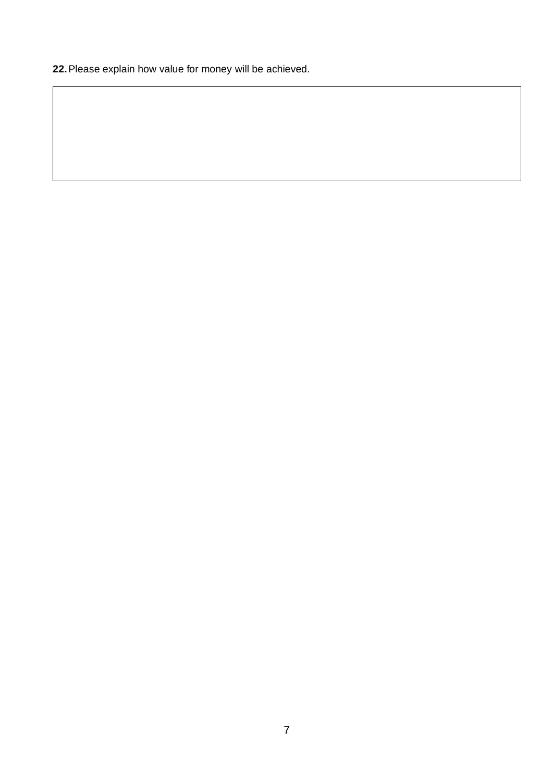**22.**Please explain how value for money will be achieved.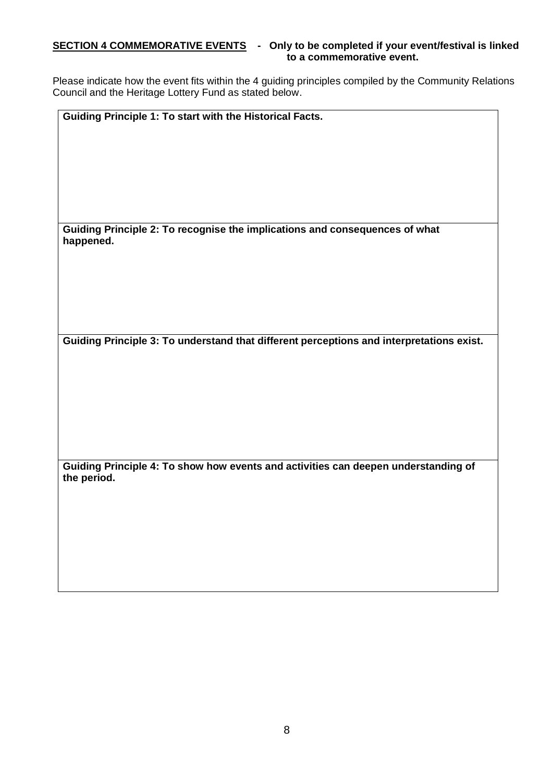#### **SECTION 4 COMMEMORATIVE EVENTS - Only to be completed if your event/festival is linked to a commemorative event.**

Please indicate how the event fits within the 4 guiding principles compiled by the Community Relations Council and the Heritage Lottery Fund as stated below.

**Guiding Principle 1: To start with the Historical Facts.**

**Guiding Principle 2: To recognise the implications and consequences of what happened.**

**Guiding Principle 3: To understand that different perceptions and interpretations exist.**

**Guiding Principle 4: To show how events and activities can deepen understanding of the period.**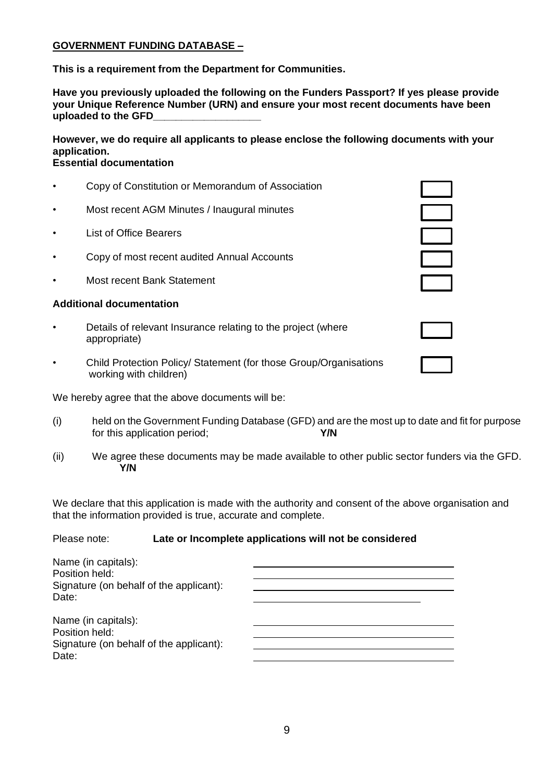#### **GOVERNMENT FUNDING DATABASE –**

**This is a requirement from the Department for Communities.**

**Have you previously uploaded the following on the Funders Passport? If yes please provide your Unique Reference Number (URN) and ensure your most recent documents have been uploaded to the GFD\_\_\_\_\_\_\_\_\_\_\_\_\_\_\_\_\_\_\_**

**However, we do require all applicants to please enclose the following documents with your application.**

## **Essential documentation**

- Copy of Constitution or Memorandum of Association • Most recent AGM Minutes / Inaugural minutes **List of Office Bearers**
- Copy of most recent audited Annual Accounts
- Most recent Bank Statement

### **Additional documentation**

- Details of relevant Insurance relating to the project (where appropriate)
- Child Protection Policy/ Statement (for those Group/Organisations working with children)

We hereby agree that the above documents will be:

- (i) held on the Government Funding Database (GFD) and are the most up to date and fit for purpose for this application period; **Y/N**
- (ii) We agree these documents may be made available to other public sector funders via the GFD. **Y/N**

We declare that this application is made with the authority and consent of the above organisation and that the information provided is true, accurate and complete.

#### Please note: **Late or Incomplete applications will not be considered**

| Name (in capitals):<br>Position held:   |  |
|-----------------------------------------|--|
| Signature (on behalf of the applicant): |  |
| Date:                                   |  |
| Name (in capitals):<br>Position held:   |  |
| Signature (on behalf of the applicant): |  |
| Date:                                   |  |

| $\mathbb{R}$ |  |
|--------------|--|
| i.           |  |
|              |  |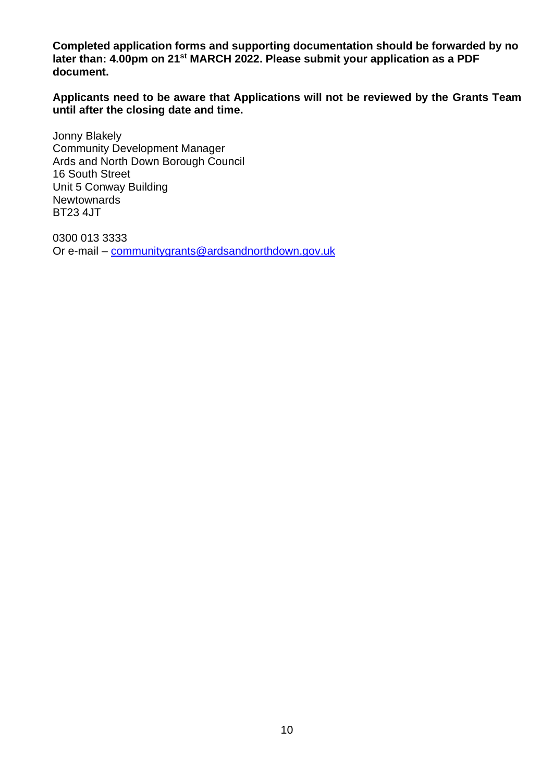**Completed application forms and supporting documentation should be forwarded by no later than: 4.00pm on 21st MARCH 2022. Please submit your application as a PDF document.**

**Applicants need to be aware that Applications will not be reviewed by the Grants Team until after the closing date and time.**

Jonny Blakely Community Development Manager Ards and North Down Borough Council 16 South Street Unit 5 Conway Building **Newtownards** BT23 4JT

0300 013 3333 Or e-mail – [communitygrants@ardsandnorthdown.gov.uk](mailto:communitygrants@ardsandnorthdown.gov.uk)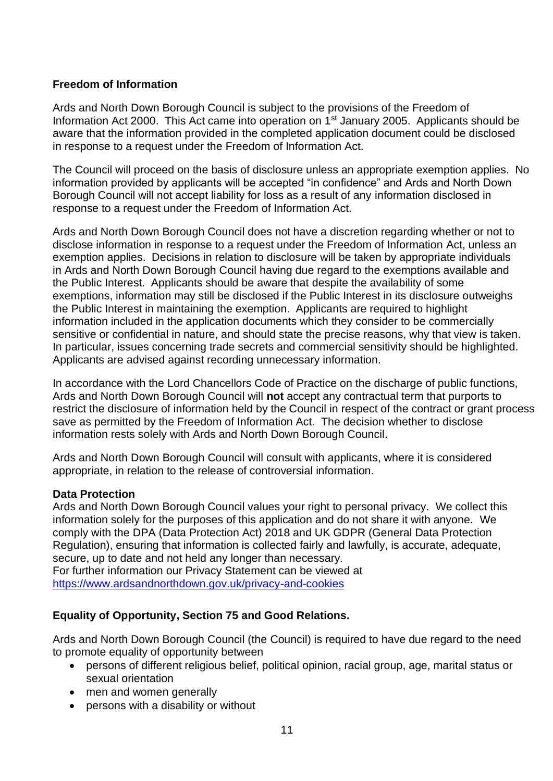# **Freedom of Information**

Ards and North Down Borough Council is subject to the provisions of the Freedom of Information Act 2000. This Act came into operation on 1<sup>st</sup> January 2005. Applicants should be aware that the information provided in the completed application document could be disclosed in response to a request under the Freedom of Information Act.

The Council will proceed on the basis of disclosure unless an appropriate exemption applies. No information provided by applicants will be accepted "in confidence" and Ards and North Down Borough Council will not accept liability for loss as a result of any information disclosed in response to a request under the Freedom of Information Act.

Ards and North Down Borough Council does not have a discretion regarding whether or not to disclose information in response to a request under the Freedom of Information Act, unless an exemption applies. Decisions in relation to disclosure will be taken by appropriate individuals in Ards and North Down Borough Council having due regard to the exemptions available and the Public Interest. Applicants should be aware that despite the availability of some exemptions, information may still be disclosed if the Public Interest in its disclosure outweighs the Public Interest in maintaining the exemption. Applicants are required to highlight information included in the application documents which they consider to be commercially sensitive or confidential in nature, and should state the precise reasons, why that view is taken. In particular, issues concerning trade secrets and commercial sensitivity should be highlighted. Applicants are advised against recording unnecessary information.

In accordance with the Lord Chancellors Code of Practice on the discharge of public functions, Ards and North Down Borough Council will **not** accept any contractual term that purports to restrict the disclosure of information held by the Council in respect of the contract or grant process save as permitted by the Freedom of Information Act. The decision whether to disclose information rests solely with Ards and North Down Borough Council.

Ards and North Down Borough Council will consult with applicants, where it is considered appropriate, in relation to the release of controversial information.

## **Data Protection**

Ards and North Down Borough Council values your right to personal privacy. We collect this information solely for the purposes of this application and do not share it with anyone. We comply with the DPA (Data Protection Act) 2018 and UK GDPR (General Data Protection Regulation), ensuring that information is collected fairly and lawfully, is accurate, adequate, secure, up to date and not held any longer than necessary**.** 

For further information our Privacy Statement can be viewed at [https://www.ardsandnorthdown.gov.uk/privacy-and-cookies](https://eur01.safelinks.protection.outlook.com/?url=https%3A%2F%2Fwww.ardsandnorthdown.gov.uk%2Fprivacy-and-cookies&data=04%7C01%7Canne.lendrum%40ardsandnorthdown.gov.uk%7Cf720ee16c62c4f7d4c7708d9e00d3fb2%7C39416dee5c8e4f5cb59d05c4bd0dd472%7C0%7C0%7C637787169765990001%7CUnknown%7CTWFpbGZsb3d8eyJWIjoiMC4wLjAwMDAiLCJQIjoiV2luMzIiLCJBTiI6Ik1haWwiLCJXVCI6Mn0%3D%7C3000&sdata=BuZ76ilI40Ef%2B7Kk4E62iBYfc5pkLJFDmZD8Xs58Z98%3D&reserved=0)

# **Equality of Opportunity, Section 75 and Good Relations.**

Ards and North Down Borough Council (the Council) is required to have due regard to the need to promote equality of opportunity between

- persons of different religious belief, political opinion, racial group, age, marital status or sexual orientation
- men and women generally
- persons with a disability or without